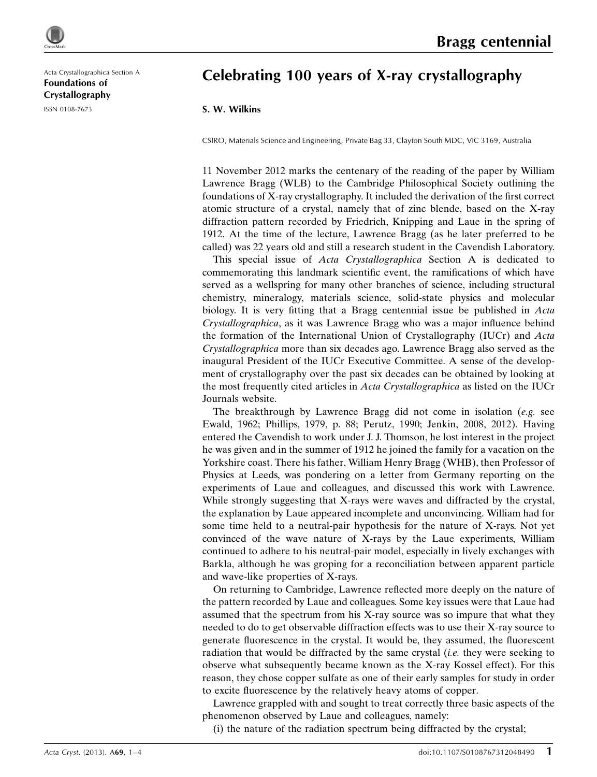Acta Crystallographica Section A Foundations of Crystallography ISSN 0108-7673

## Celebrating 100 years of X-ray crystallography

## S. W. Wilkins

CSIRO, Materials Science and Engineering, Private Bag 33, Clayton South MDC, VIC 3169, Australia

11 November 2012 marks the centenary of the reading of the paper by William Lawrence Bragg (WLB) to the Cambridge Philosophical Society outlining the foundations of X-ray crystallography. It included the derivation of the first correct atomic structure of a crystal, namely that of zinc blende, based on the X-ray diffraction pattern recorded by Friedrich, Knipping and Laue in the spring of 1912. At the time of the lecture, Lawrence Bragg (as he later preferred to be called) was 22 years old and still a research student in the Cavendish Laboratory.

This special issue of Acta Crystallographica Section A is dedicated to commemorating this landmark scientific event, the ramifications of which have served as a wellspring for many other branches of science, including structural chemistry, mineralogy, materials science, solid-state physics and molecular biology. It is very fitting that a Bragg centennial issue be published in Acta Crystallographica, as it was Lawrence Bragg who was a major influence behind the formation of the International Union of Crystallography (IUCr) and Acta Crystallographica more than six decades ago. Lawrence Bragg also served as the inaugural President of the IUCr Executive Committee. A sense of the development of crystallography over the past six decades can be obtained by looking at the most frequently cited articles in Acta Crystallographica as listed on the IUCr Journals website.

The breakthrough by Lawrence Bragg did not come in isolation (e.g. see Ewald, 1962; Phillips, 1979, p. 88; Perutz, 1990; Jenkin, 2008, 2012). Having entered the Cavendish to work under J. J. Thomson, he lost interest in the project he was given and in the summer of 1912 he joined the family for a vacation on the Yorkshire coast. There his father, William Henry Bragg (WHB), then Professor of Physics at Leeds, was pondering on a letter from Germany reporting on the experiments of Laue and colleagues, and discussed this work with Lawrence. While strongly suggesting that X-rays were waves and diffracted by the crystal, the explanation by Laue appeared incomplete and unconvincing. William had for some time held to a neutral-pair hypothesis for the nature of X-rays. Not yet convinced of the wave nature of X-rays by the Laue experiments, William continued to adhere to his neutral-pair model, especially in lively exchanges with Barkla, although he was groping for a reconciliation between apparent particle and wave-like properties of X-rays.

On returning to Cambridge, Lawrence reflected more deeply on the nature of the pattern recorded by Laue and colleagues. Some key issues were that Laue had assumed that the spectrum from his X-ray source was so impure that what they needed to do to get observable diffraction effects was to use their X-ray source to generate fluorescence in the crystal. It would be, they assumed, the fluorescent radiation that would be diffracted by the same crystal  $(i.e.$  they were seeking to observe what subsequently became known as the X-ray Kossel effect). For this reason, they chose copper sulfate as one of their early samples for study in order to excite fluorescence by the relatively heavy atoms of copper.

Lawrence grappled with and sought to treat correctly three basic aspects of the phenomenon observed by Laue and colleagues, namely:

(i) the nature of the radiation spectrum being diffracted by the crystal;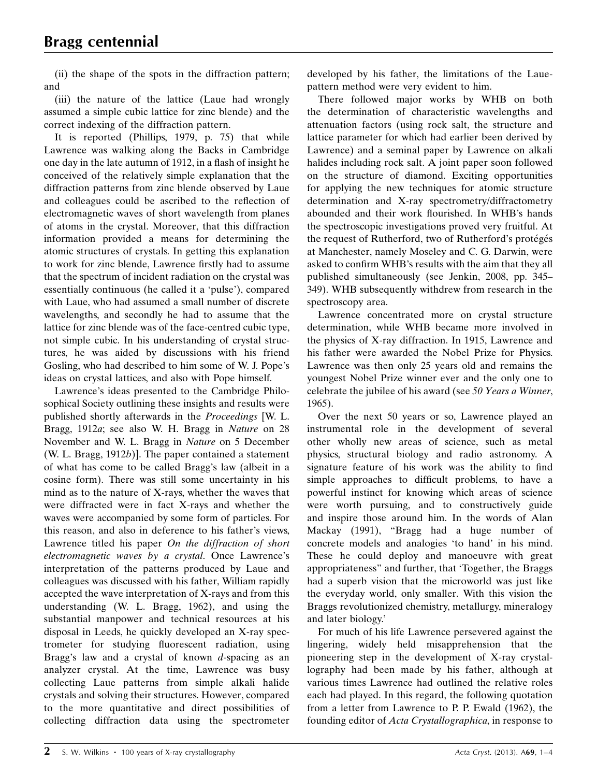(ii) the shape of the spots in the diffraction pattern; and

(iii) the nature of the lattice (Laue had wrongly assumed a simple cubic lattice for zinc blende) and the correct indexing of the diffraction pattern.

It is reported (Phillips, 1979, p. 75) that while Lawrence was walking along the Backs in Cambridge one day in the late autumn of 1912, in a flash of insight he conceived of the relatively simple explanation that the diffraction patterns from zinc blende observed by Laue and colleagues could be ascribed to the reflection of electromagnetic waves of short wavelength from planes of atoms in the crystal. Moreover, that this diffraction information provided a means for determining the atomic structures of crystals. In getting this explanation to work for zinc blende, Lawrence firstly had to assume that the spectrum of incident radiation on the crystal was essentially continuous (he called it a 'pulse'), compared with Laue, who had assumed a small number of discrete wavelengths, and secondly he had to assume that the lattice for zinc blende was of the face-centred cubic type, not simple cubic. In his understanding of crystal structures, he was aided by discussions with his friend Gosling, who had described to him some of W. J. Pope's ideas on crystal lattices, and also with Pope himself.

Lawrence's ideas presented to the Cambridge Philosophical Society outlining these insights and results were published shortly afterwards in the Proceedings [W. L. Bragg, 1912a; see also W. H. Bragg in Nature on 28 November and W. L. Bragg in Nature on 5 December (W. L. Bragg, 1912b)]. The paper contained a statement of what has come to be called Bragg's law (albeit in a cosine form). There was still some uncertainty in his mind as to the nature of X-rays, whether the waves that were diffracted were in fact X-rays and whether the waves were accompanied by some form of particles. For this reason, and also in deference to his father's views, Lawrence titled his paper On the diffraction of short electromagnetic waves by a crystal. Once Lawrence's interpretation of the patterns produced by Laue and colleagues was discussed with his father, William rapidly accepted the wave interpretation of X-rays and from this understanding (W. L. Bragg, 1962), and using the substantial manpower and technical resources at his disposal in Leeds, he quickly developed an X-ray spectrometer for studying fluorescent radiation, using Bragg's law and a crystal of known  $d$ -spacing as an analyzer crystal. At the time, Lawrence was busy collecting Laue patterns from simple alkali halide crystals and solving their structures. However, compared to the more quantitative and direct possibilities of collecting diffraction data using the spectrometer developed by his father, the limitations of the Lauepattern method were very evident to him.

There followed major works by WHB on both the determination of characteristic wavelengths and attenuation factors (using rock salt, the structure and lattice parameter for which had earlier been derived by Lawrence) and a seminal paper by Lawrence on alkali halides including rock salt. A joint paper soon followed on the structure of diamond. Exciting opportunities for applying the new techniques for atomic structure determination and X-ray spectrometry/diffractometry abounded and their work flourished. In WHB's hands the spectroscopic investigations proved very fruitful. At the request of Rutherford, two of Rutherford's protégés at Manchester, namely Moseley and C. G. Darwin, were asked to confirm WHB's results with the aim that they all published simultaneously (see Jenkin, 2008, pp. 345– 349). WHB subsequently withdrew from research in the spectroscopy area.

Lawrence concentrated more on crystal structure determination, while WHB became more involved in the physics of X-ray diffraction. In 1915, Lawrence and his father were awarded the Nobel Prize for Physics. Lawrence was then only 25 years old and remains the youngest Nobel Prize winner ever and the only one to celebrate the jubilee of his award (see 50 Years a Winner, 1965).

Over the next 50 years or so, Lawrence played an instrumental role in the development of several other wholly new areas of science, such as metal physics, structural biology and radio astronomy. A signature feature of his work was the ability to find simple approaches to difficult problems, to have a powerful instinct for knowing which areas of science were worth pursuing, and to constructively guide and inspire those around him. In the words of Alan Mackay (1991), "Bragg had a huge number of concrete models and analogies 'to hand' in his mind. These he could deploy and manoeuvre with great appropriateness" and further, that 'Together, the Braggs had a superb vision that the microworld was just like the everyday world, only smaller. With this vision the Braggs revolutionized chemistry, metallurgy, mineralogy and later biology.'

For much of his life Lawrence persevered against the lingering, widely held misapprehension that the pioneering step in the development of X-ray crystallography had been made by his father, although at various times Lawrence had outlined the relative roles each had played. In this regard, the following quotation from a letter from Lawrence to P. P. Ewald (1962), the founding editor of Acta Crystallographica, in response to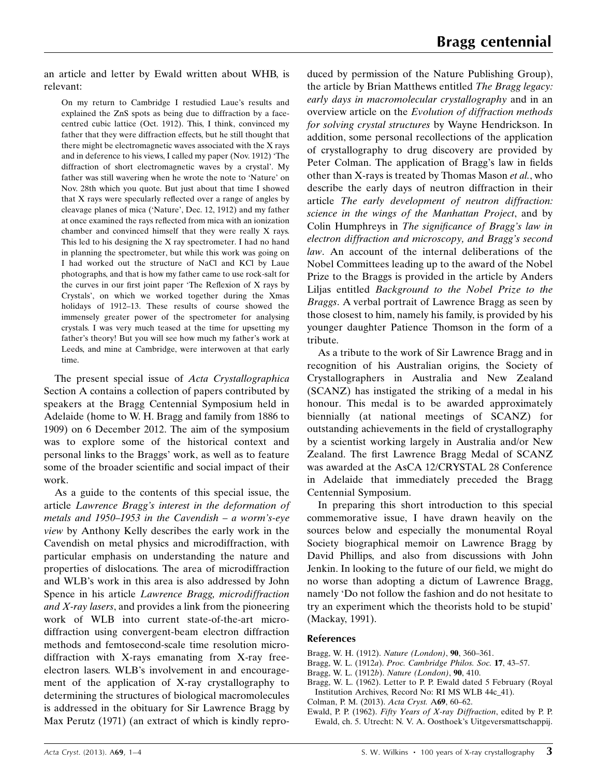an article and letter by Ewald written about WHB, is relevant:

On my return to Cambridge I restudied Laue's results and explained the ZnS spots as being due to diffraction by a facecentred cubic lattice (Oct. 1912). This, I think, convinced my father that they were diffraction effects, but he still thought that there might be electromagnetic waves associated with the X rays and in deference to his views, I called my paper (Nov. 1912) 'The diffraction of short electromagnetic waves by a crystal'. My father was still wavering when he wrote the note to 'Nature' on Nov. 28th which you quote. But just about that time I showed that X rays were specularly reflected over a range of angles by cleavage planes of mica ('Nature', Dec. 12, 1912) and my father at once examined the rays reflected from mica with an ionization chamber and convinced himself that they were really X rays. This led to his designing the X ray spectrometer. I had no hand in planning the spectrometer, but while this work was going on I had worked out the structure of NaCl and KCl by Laue photographs, and that is how my father came to use rock-salt for the curves in our first joint paper 'The Reflexion of X rays by Crystals', on which we worked together during the Xmas holidays of 1912–13. These results of course showed the immensely greater power of the spectrometer for analysing crystals. I was very much teased at the time for upsetting my father's theory! But you will see how much my father's work at Leeds, and mine at Cambridge, were interwoven at that early time.

The present special issue of Acta Crystallographica Section A contains a collection of papers contributed by speakers at the Bragg Centennial Symposium held in Adelaide (home to W. H. Bragg and family from 1886 to 1909) on 6 December 2012. The aim of the symposium was to explore some of the historical context and personal links to the Braggs' work, as well as to feature some of the broader scientific and social impact of their work.

As a guide to the contents of this special issue, the article Lawrence Bragg's interest in the deformation of metals and 1950–1953 in the Cavendish – a worm's-eye view by Anthony Kelly describes the early work in the Cavendish on metal physics and microdiffraction, with particular emphasis on understanding the nature and properties of dislocations. The area of microdiffraction and WLB's work in this area is also addressed by John Spence in his article Lawrence Bragg, microdiffraction and X-ray lasers, and provides a link from the pioneering work of WLB into current state-of-the-art microdiffraction using convergent-beam electron diffraction methods and femtosecond-scale time resolution microdiffraction with X-rays emanating from X-ray freeelectron lasers. WLB's involvement in and encouragement of the application of X-ray crystallography to determining the structures of biological macromolecules is addressed in the obituary for Sir Lawrence Bragg by Max Perutz (1971) (an extract of which is kindly reproduced by permission of the Nature Publishing Group), the article by Brian Matthews entitled The Bragg legacy: early days in macromolecular crystallography and in an overview article on the Evolution of diffraction methods for solving crystal structures by Wayne Hendrickson. In addition, some personal recollections of the application of crystallography to drug discovery are provided by Peter Colman. The application of Bragg's law in fields other than X-rays is treated by Thomas Mason et al., who describe the early days of neutron diffraction in their article The early development of neutron diffraction: science in the wings of the Manhattan Project, and by Colin Humphreys in The significance of Bragg's law in electron diffraction and microscopy, and Bragg's second law. An account of the internal deliberations of the Nobel Committees leading up to the award of the Nobel Prize to the Braggs is provided in the article by Anders Liljas entitled Background to the Nobel Prize to the Braggs. A verbal portrait of Lawrence Bragg as seen by those closest to him, namely his family, is provided by his younger daughter Patience Thomson in the form of a tribute.

As a tribute to the work of Sir Lawrence Bragg and in recognition of his Australian origins, the Society of Crystallographers in Australia and New Zealand (SCANZ) has instigated the striking of a medal in his honour. This medal is to be awarded approximately biennially (at national meetings of SCANZ) for outstanding achievements in the field of crystallography by a scientist working largely in Australia and/or New Zealand. The first Lawrence Bragg Medal of SCANZ was awarded at the AsCA 12/CRYSTAL 28 Conference in Adelaide that immediately preceded the Bragg Centennial Symposium.

In preparing this short introduction to this special commemorative issue, I have drawn heavily on the sources below and especially the monumental Royal Society biographical memoir on Lawrence Bragg by David Phillips, and also from discussions with John Jenkin. In looking to the future of our field, we might do no worse than adopting a dictum of Lawrence Bragg, namely 'Do not follow the fashion and do not hesitate to try an experiment which the theorists hold to be stupid' (Mackay, 1991).

## References

- [Bragg, W. H. \(1912\).](http://scripts.iucr.org/cgi-bin/cr.cgi?rm=pdfbb&cnor=me0486&bbid=BB1) Nature (London), 90, 360–361.
- Bragg, W. L. (1912a). [Proc. Cambridge Philos. Soc.](http://scripts.iucr.org/cgi-bin/cr.cgi?rm=pdfbb&cnor=me0486&bbid=BB3) 17, 43–57.
- [Bragg, W. L. \(1912](http://scripts.iucr.org/cgi-bin/cr.cgi?rm=pdfbb&cnor=me0486&bbid=BB2)b). Nature (London), 90, 410.
- [Bragg, W. L. \(1962\). Letter to P. P. Ewald dated 5 February \(Royal](http://scripts.iucr.org/cgi-bin/cr.cgi?rm=pdfbb&cnor=me0486&bbid=BB4) [Institution Archives, Record No: RI MS WLB 44c\\_41\).](http://scripts.iucr.org/cgi-bin/cr.cgi?rm=pdfbb&cnor=me0486&bbid=BB4)
- [Colman, P. M. \(2013\).](http://scripts.iucr.org/cgi-bin/cr.cgi?rm=pdfbb&cnor=me0486&bbid=BB25) Acta Cryst. A69, 60–62.
- Ewald, P. P. (1962). [Fifty Years of X-ray Diffraction](http://scripts.iucr.org/cgi-bin/cr.cgi?rm=pdfbb&cnor=me0486&bbid=BB5), edited by P. P. [Ewald, ch. 5. Utrecht: N. V. A. Oosthoek's Uitgeversmattschappij.](http://scripts.iucr.org/cgi-bin/cr.cgi?rm=pdfbb&cnor=me0486&bbid=BB5)